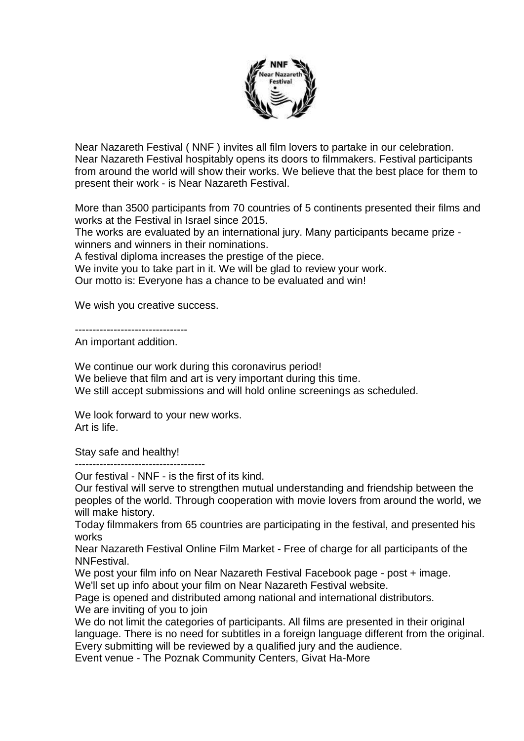

Near Nazareth Festival ( NNF ) invites all film lovers to partake in our celebration. Near Nazareth Festival hospitably opens its doors to filmmakers. Festival participants from around the world will show their works. We believe that the best place for them to present their work - is Near Nazareth Festival.

More than 3500 participants from 70 countries of 5 continents presented their films and works at the Festival in Israel since 2015.

The works are evaluated by an international jury. Many participants became prize winners and winners in their nominations.

A festival diploma increases the prestige of the piece.

We invite you to take part in it. We will be glad to review your work.

Our motto is: Everyone has a chance to be evaluated and win!

We wish you creative success.

--------------------------------

An important addition.

We continue our work during this coronavirus period! We believe that film and art is very important during this time. We still accept submissions and will hold online screenings as scheduled.

We look forward to your new works. Art is life.

Stay safe and healthy!

-------------------------------------

Our festival - NNF - is the first of its kind.

Our festival will serve to strengthen mutual understanding and friendship between the peoples of the world. Through cooperation with movie lovers from around the world, we will make history.

Today filmmakers from 65 countries are participating in the festival, and presented his works

Near Nazareth Festival Online Film Market - Free of charge for all participants of the NNFestival.

We post your film info on Near Nazareth Festival Facebook page - post + image.

We'll set up info about your film on Near Nazareth Festival website.

Page is opened and distributed among national and international distributors. We are inviting of you to join

We do not limit the categories of participants. All films are presented in their original language. There is no need for subtitles in a foreign language different from the original. Every submitting will be reviewed by a qualified jury and the audience. Event venue - The Poznak Community Centers, Givat Ha-More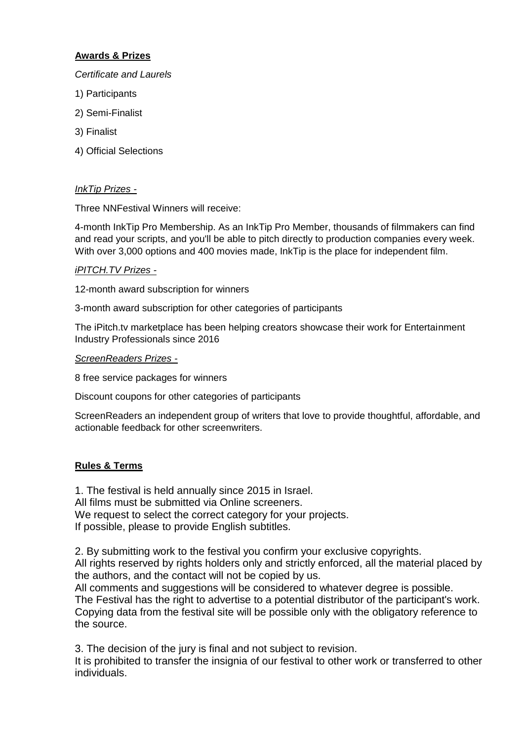# **Awards & Prizes**

#### *Certificate and Laurels*

- 1) Participants
- 2) Semi-Finalist
- 3) Finalist
- 4) Official Selections

# *InkTip Prizes -*

Three NNFestival Winners will receive:

4-month InkTip Pro Membership. As an InkTip Pro Member, thousands of filmmakers can find and read your scripts, and you'll be able to pitch directly to production companies every week. With over 3,000 options and 400 movies made, InkTip is the place for independent film.

### *iPITCH.TV Prizes -*

12-month award subscription for winners

3-month award subscription for other categories of participants

The iPitch.tv marketplace has been helping creators showcase their work for Entertainment Industry Professionals since 2016

### *ScreenReaders Prizes -*

8 free service packages for winners

Discount coupons for other categories of participants

ScreenReaders an independent group of writers that love to provide thoughtful, affordable, and actionable feedback for other screenwriters.

### **Rules & Terms**

1. The festival is held annually since 2015 in Israel. All films must be submitted via Online screeners. We request to select the correct category for your projects. If possible, please to provide English subtitles.

2. By submitting work to the festival you confirm your exclusive copyrights. All rights reserved by rights holders only and strictly enforced, all the material placed by the authors, and the contact will not be copied by us.

All comments and suggestions will be considered to whatever degree is possible. The Festival has the right to advertise to a potential distributor of the participant's work. Copying data from the festival site will be possible only with the obligatory reference to the source.

3. The decision of the jury is final and not subject to revision.

It is prohibited to transfer the insignia of our festival to other work or transferred to other individuals.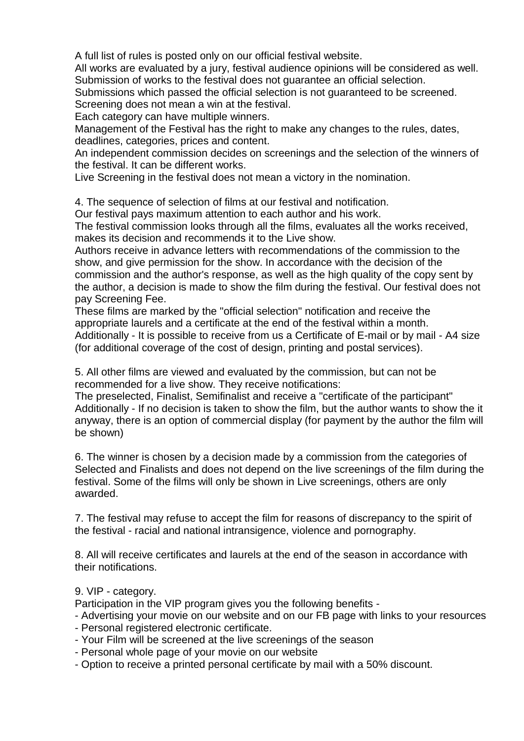A full list of rules is posted only on our official festival website.

All works are evaluated by a jury, festival audience opinions will be considered as well. Submission of works to the festival does not guarantee an official selection.

Submissions which passed the official selection is not guaranteed to be screened. Screening does not mean a win at the festival.

Each category can have multiple winners.

Management of the Festival has the right to make any changes to the rules, dates, deadlines, categories, prices and content.

An independent commission decides on screenings and the selection of the winners of the festival. It can be different works.

Live Screening in the festival does not mean a victory in the nomination.

4. The sequence of selection of films at our festival and notification.

Our festival pays maximum attention to each author and his work.

The festival commission looks through all the films, evaluates all the works received, makes its decision and recommends it to the Live show.

Authors receive in advance letters with recommendations of the commission to the show, and give permission for the show. In accordance with the decision of the commission and the author's response, as well as the high quality of the copy sent by the author, a decision is made to show the film during the festival. Our festival does not pay Screening Fee.

These films are marked by the "official selection" notification and receive the appropriate laurels and a certificate at the end of the festival within a month. Additionally - It is possible to receive from us a Certificate of E-mail or by mail - A4 size (for additional coverage of the cost of design, printing and postal services).

5. All other films are viewed and evaluated by the commission, but can not be recommended for a live show. They receive notifications:

The preselected, Finalist, Semifinalist and receive a "certificate of the participant" Additionally - If no decision is taken to show the film, but the author wants to show the it anyway, there is an option of commercial display (for payment by the author the film will be shown)

6. The winner is chosen by a decision made by a commission from the categories of Selected and Finalists and does not depend on the live screenings of the film during the festival. Some of the films will only be shown in Live screenings, others are only awarded.

7. The festival may refuse to accept the film for reasons of discrepancy to the spirit of the festival - racial and national intransigence, violence and pornography.

8. All will receive certificates and laurels at the end of the season in accordance with their notifications.

9. VIP - category.

Participation in the VIP program gives you the following benefits -

- Advertising your movie on our website and on our FB page with links to your resources
- Personal registered electronic certificate.
- Your Film will be screened at the live screenings of the season
- Personal whole page of your movie on our website
- Option to receive a printed personal certificate by mail with a 50% discount.